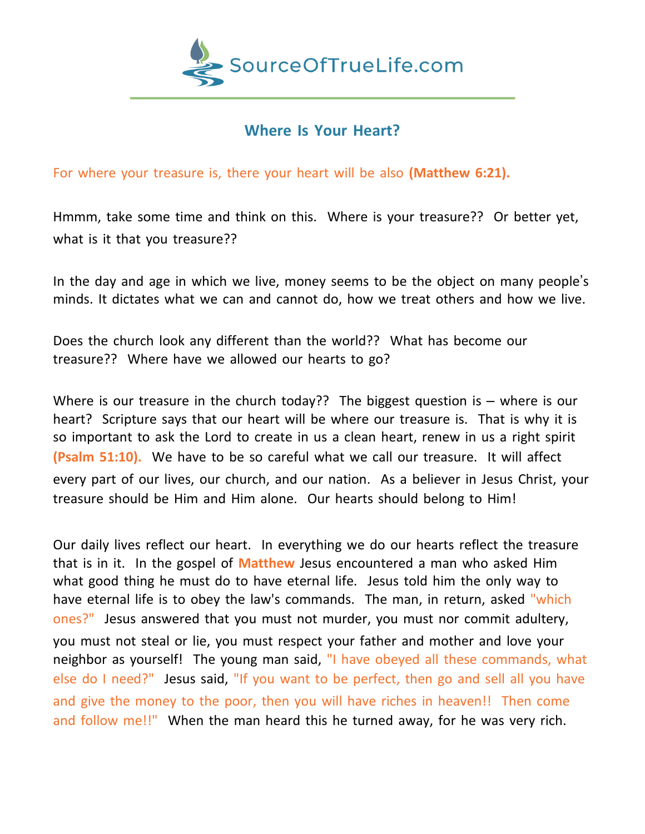

## **Where Is Your Heart?**

For where your treasure is, there your heart will be also **(Matthew 6:21).**

Hmmm, take some time and think on this. Where is your treasure?? Or better yet, what is it that you treasure??

In the day and age in which we live, money seems to be the object on many people's minds. It dictates what we can and cannot do, how we treat others and how we live.

Does the church look any different than the world?? What has become our treasure?? Where have we allowed our hearts to go?

Where is our treasure in the church today?? The biggest question is  $-$  where is our heart? Scripture says that our heart will be where our treasure is. That is why it is so important to ask the Lord to create in us a clean heart, renew in us a right spirit **(Psalm 51:10).** We have to be so careful what we call our treasure. It will affect every part of our lives, our church, and our nation. As a believer in Jesus Christ, your treasure should be Him and Him alone. Our hearts should belong to Him!

Our daily lives reflect our heart. In everything we do our hearts reflect the treasure that is in it. In the gospel of **Matthew** Jesus encountered a man who asked Him what good thing he must do to have eternal life. Jesus told him the only way to have eternal life is to obey the law's commands. The man, in return, asked "which ones?" Jesus answered that you must not murder, you must nor commit adultery, you must not steal or lie, you must respect your father and mother and love your neighbor as yourself! The young man said, "I have obeyed all these commands, what else do I need?" Jesus said, "If you want to be perfect, then go and sell all you have and give the money to the poor, then you will have riches in heaven!! Then come and follow me!!" When the man heard this he turned away, for he was very rich.